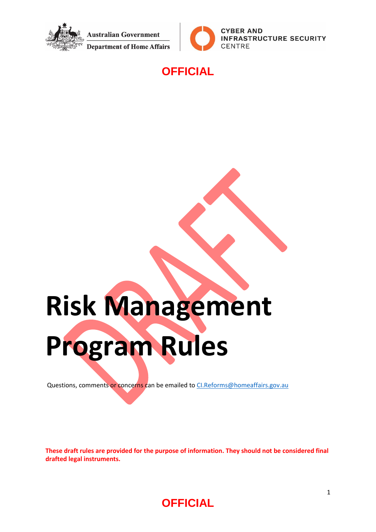



#### **OFFICIAL**

# **Risk Management**

**Program Rules**

Questions, comments or concerns can be emailed to [CI.Reforms@homeaffairs.gov.au](mailto:CI.Reforms@homeaffairs.gov.au)

**These draft rules are provided for the purpose of information. They should not be considered final drafted legal instruments.** 

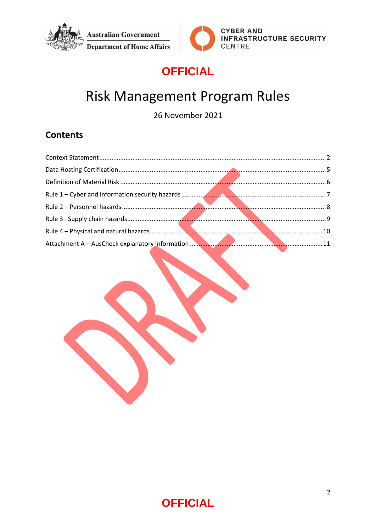



# **OFFICIAL**

# Risk Management Program Rules

26 November 2021

#### **Contents**

<span id="page-1-0"></span>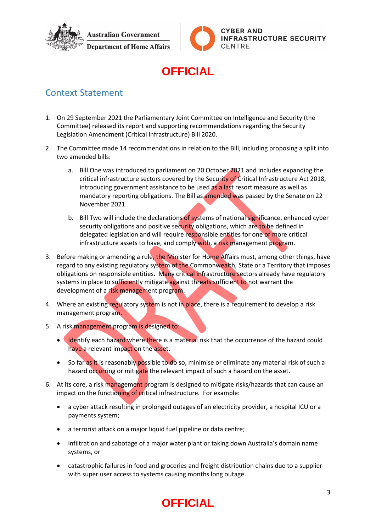



# **OFFICIAL**

#### Context Statement

- 1. On 29 September 2021 the Parliamentary Joint Committee on Intelligence and Security (the Committee) released its report and supporting recommendations regarding the Security Legislation Amendment (Critical Infrastructure) Bill 2020.
- 2. The Committee made 14 recommendations in relation to the Bill, including proposing a split into two amended bills:
	- a. Bill One was introduced to parliament on 20 October 2021 and includes expanding the critical infrastructure sectors covered by the Security of Critical Infrastructure Act 2018, introducing government assistance to be used as a last resort measure as well as mandatory reporting obligations. The Bill as amended was passed by the Senate on 22 November 2021.
	- b. Bill Two will include the declarations of systems of national significance, enhanced cyber security obligations and positive security obligations, which are to be defined in delegated legislation and will require responsible entities for one or more critical infrastructure assets to have, and comply with, a risk management program.
- 3. Before making or amending a rule, the Minister for Home Affairs must, among other things, have regard to any existing regulatory system of the Commonwealth, State or a Territory that imposes obligations on responsible entities. Many critical infrastructure sectors already have regulatory systems in place to sufficiently mitigate against threats sufficient to not warrant the development of a risk management program.
- 4. Where an existing regulatory system is not in place, there is a requirement to develop a risk management program.
- 5. A risk management program is designed to:
	- **IDENTIFY COMPATE 10 IDENTIFY CONTROLLY A MATE IS A MATE THE MATE THEORY CONTROLLY A LOCAL THEORY CONTROLLY A LOCAL THEORY CONTROLLY A LOCAL THEORY CONTROLLY A LOCAL THEORY CONTROLLY A LOCAL THEORY CONTROLLY A LOCAL THEORY** have a relevant impact on the asset.
	- So far as it is reasonably possible to do so, minimise or eliminate any material risk of such a hazard occurring or mitigate the relevant impact of such a hazard on the asset.
- 6. At its core, a risk management program is designed to mitigate risks/hazards that can cause an impact on the functioning of critical infrastructure. For example:
	- a cyber attack resulting in prolonged outages of an electricity provider, a hospital ICU or a payments system;
	- a terrorist attack on a major liquid fuel pipeline or data centre;
	- infiltration and sabotage of a major water plant or taking down Australia's domain name systems, or
	- catastrophic failures in food and groceries and freight distribution chains due to a supplier with super user access to systems causing months long outage.

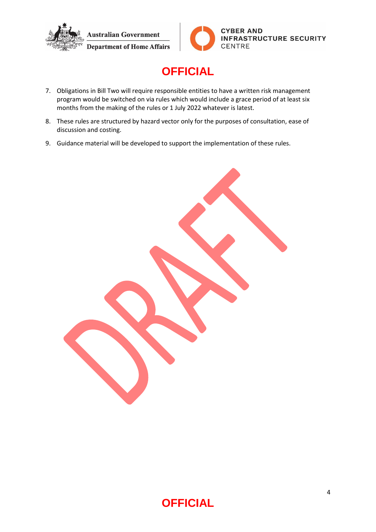



- 7. Obligations in Bill Two will require responsible entities to have a written risk management program would be switched on via rules which would include a grace period of at least six months from the making of the rules or 1 July 2022 whatever is latest.
- 8. These rules are structured by hazard vector only for the purposes of consultation, ease of discussion and costing.
- 9. Guidance material will be developed to support the implementation of these rules.

<span id="page-3-0"></span>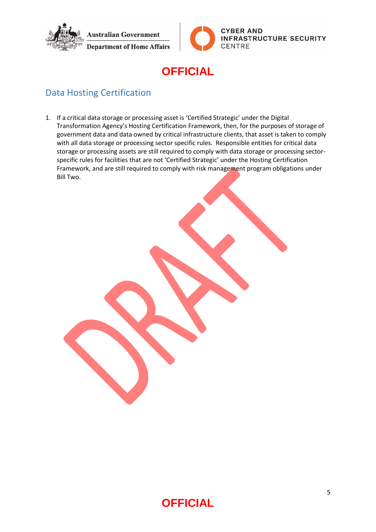



## **OFFICIAL**

#### Data Hosting Certification

1. If a critical data storage or processing asset is 'Certified Strategic' under the Digital Transformation Agency's Hosting Certification Framework, then, for the purposes of storage of government data and data owned by critical infrastructure clients, that asset is taken to comply with all data storage or processing sector specific rules. Responsible entities for critical data storage or processing assets are still required to comply with data storage or processing sectorspecific rules for facilities that are not 'Certified Strategic' under the Hosting Certification Framework, and are still required to comply with risk management program obligations under Bill Two.

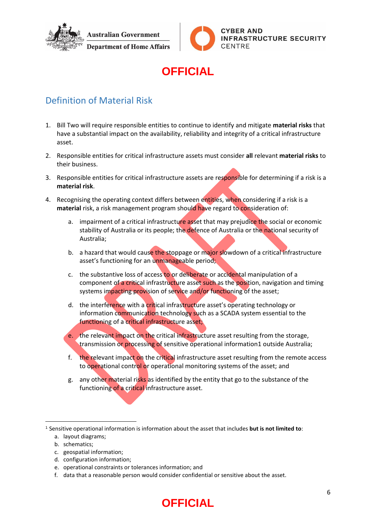



## **OFFICIAL**

#### <span id="page-5-0"></span>Definition of Material Risk

- 1. Bill Two will require responsible entities to continue to identify and mitigate **material risks** that have a substantial impact on the availability, reliability and integrity of a critical infrastructure asset.
- 2. Responsible entities for critical infrastructure assets must consider **all** relevant **material risks** to their business.
- 3. Responsible entities for critical infrastructure assets are responsible for determining if a risk is a **material risk**.
- 4. Recognising the operating context differs between entities, when considering if a risk is a **material** risk, a risk management program should have regard to consideration of:
	- a. impairment of a critical infrastructure asset that may prejudice the social or economic stability of Australia or its people; the defence of Australia or the national security of Australia;
	- b. a hazard that would cause the stoppage or major slowdown of a critical infrastructure asset's functioning for an unmanageable period;
	- c. the substantive loss of access to or deliberate or accidental manipulation of a component of a critical infrastructure asset such as the position, navigation and timing systems impacting provision of service and/or functioning of the asset;
	- d. the interference with a critical infrastructure asset's operating technology or information communication technology such as a SCADA system essential to the functioning of a critical infrastructure asset;
	- e. the relevant impact on the critical infrastructure asset resulting from the storage, transmission or processing of sensitive operational information1 outside Australia;
	- f. the relevant impact on the critical infrastructure asset resulting from the remote access to operational control or operational monitoring systems of the asset; and
	- g. any other material risks as identified by the entity that go to the substance of the functioning of a critical infrastructure asset.

<sup>1</sup> Sensitive operational information is information about the asset that includes **but is not limited to**:

b. schematics;

1

- c. geospatial information;
- d. configuration information;
- e. operational constraints or tolerances information; and
- f. data that a reasonable person would consider confidential or sensitive about the asset.

a. layout diagrams;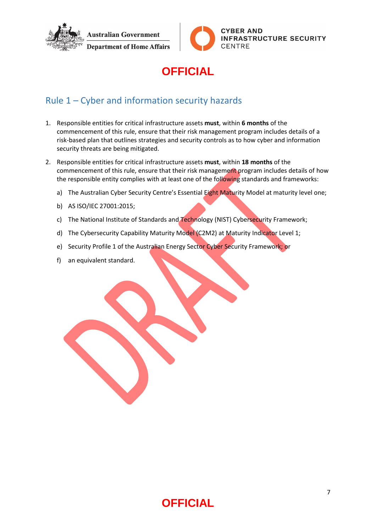



# **OFFICIAL**

#### <span id="page-6-0"></span>Rule 1 – Cyber and information security hazards

- 1. Responsible entities for critical infrastructure assets **must**, within **6 months** of the commencement of this rule, ensure that their risk management program includes details of a risk-based plan that outlines strategies and security controls as to how cyber and information security threats are being mitigated.
- 2. Responsible entities for critical infrastructure assets **must**, within **18 months** of the commencement of this rule, ensure that their risk management program includes details of how the responsible entity complies with at least one of the following standards and frameworks:
	- a) The Australian Cyber Security Centre's Essential Eight Maturity Model at maturity level one;
	- b) AS ISO/IEC 27001:2015;
	- c) The National Institute of Standards and Technology (NIST) Cybersecurity Framework;
	- d) The Cybersecurity Capability Maturity Model (C2M2) at Maturity Indicator Level 1;
	- e) Security Profile 1 of the Australian Energy Sector Cyber Security Framework; or
	- f) an equivalent standard.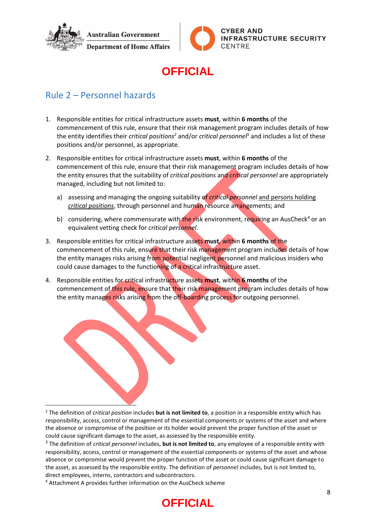



#### **OFFICIAL**

#### <span id="page-7-0"></span>Rule 2 – Personnel hazards

- 1. Responsible entities for critical infrastructure assets **must**, within **6 months** of the commencement of this rule, ensure that their risk management program includes details of how the entity identifies their *critical positions<sup>2</sup>* and/or *critical personnel*<sup>3</sup> and includes a list of these positions and/or personnel, as appropriate.
- 2. Responsible entities for critical infrastructure assets **must**, within **6 months** of the commencement of this rule, ensure that their risk management program includes details of how the entity ensures that the suitability of *critical positions* and *critical personnel* are appropriately managed, including but not limited to:
	- a) assessing and managing the ongoing suitability of *critical personnel* and persons holding *critical positions*, through personnel and human resource arrangements; and
	- b) considering, where commensurate with the risk environment, requiring an AusCheck*<sup>4</sup>* or an equivalent vetting check for *critical personnel*.
- 3. Responsible entities for critical infrastructure assets **must**, within **6 months** of the commencement of this rule, ensure that their risk management program includes details of how the entity manages risks arising from potential negligent personnel and malicious insiders who could cause damages to the functioning of a critical infrastructure asset.
- 4. Responsible entities for critical infrastructure assets **must**, within **6 months** of the commencement of this rule, ensure that their risk management program includes details of how the entity manages risks arising from the off-boarding process for outgoing personnel.

 $\overline{\phantom{a}}$ <sup>2</sup> The definition of *critical position* includes **but is not limited to**, a position in a responsible entity which has responsibility, access, control or management of the essential components or systems of the asset and where the absence or compromise of the position or its holder would prevent the proper function of the asset or could cause significant damage to the asset, as assessed by the responsible entity.

<sup>3</sup> The definition of *critical personnel* includes, **but is not limited to**, any employee of a responsible entity with responsibility, access, control or management of the essential components or systems of the asset and whose absence or compromise would prevent the proper function of the asset or could cause significant damage to the asset, as assessed by the responsible entity. The definition of *personnel* includes, but is not limited to, direct employees, interns, contractors and subcontractors.

<sup>4</sup> Attachment A provides further information on the AusCheck scheme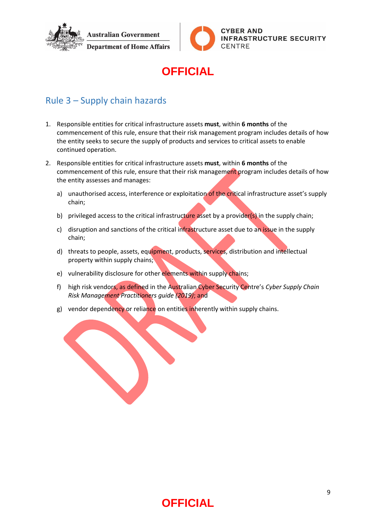



## **OFFICIAL**

#### <span id="page-8-0"></span>Rule 3 – Supply chain hazards

- 1. Responsible entities for critical infrastructure assets **must**, within **6 months** of the commencement of this rule, ensure that their risk management program includes details of how the entity seeks to secure the supply of products and services to critical assets to enable continued operation.
- 2. Responsible entities for critical infrastructure assets **must**, within **6 months** of the commencement of this rule, ensure that their risk management program includes details of how the entity assesses and manages:
	- a) unauthorised access, interference or exploitation of the critical infrastructure asset's supply chain;
	- b) privileged access to the critical infrastructure asset by a provider(s) in the supply chain;
	- c) disruption and sanctions of the critical infrastructure asset due to an issue in the supply chain;
	- d) threats to people, assets, equipment, products, services, distribution and intellectual property within supply chains;
	- e) vulnerability disclosure for other elements within supply chains;
	- f) high risk vendors, as defined in the Australian Cyber Security Centre's *Cyber Supply Chain Risk Management Practitioners guide (2019)*; and
	- g) vendor dependency or reliance on entities inherently within supply chains.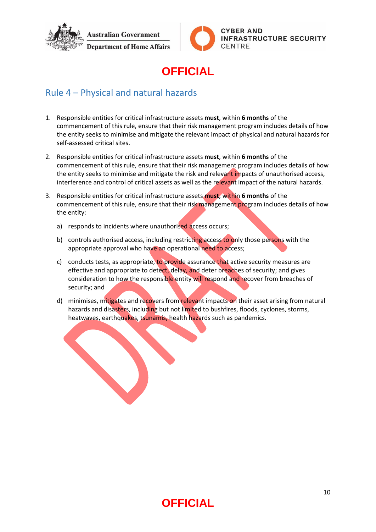



# **OFFICIAL**

#### <span id="page-9-0"></span>Rule 4 – Physical and natural hazards

- 1. Responsible entities for critical infrastructure assets **must**, within **6 months** of the commencement of this rule, ensure that their risk management program includes details of how the entity seeks to minimise and mitigate the relevant impact of physical and natural hazards for self-assessed critical sites.
- 2. Responsible entities for critical infrastructure assets **must**, within **6 months** of the commencement of this rule, ensure that their risk management program includes details of how the entity seeks to minimise and mitigate the risk and relevant impacts of unauthorised access, interference and control of critical assets as well as the relevant impact of the natural hazards.
- 3. Responsible entities for critical infrastructure assets **must**, within **6 months** of the commencement of this rule, ensure that their risk management program includes details of how the entity:
	- a) responds to incidents where unauthorised access occurs;
	- b) controls authorised access, including restricting access to only those persons with the appropriate approval who have an operational need to access;
	- c) conducts tests, as appropriate, to provide assurance that active security measures are effective and appropriate to detect, delay, and deter breaches of security; and gives consideration to how the responsible entity will respond and recover from breaches of security; and
	- d) minimises, mitigates and recovers from relevant impacts on their asset arising from natural hazards and disasters, including but not limited to bushfires, floods, cyclones, storms, heatwaves, earthquakes, tsunamis, health hazards such as pandemics.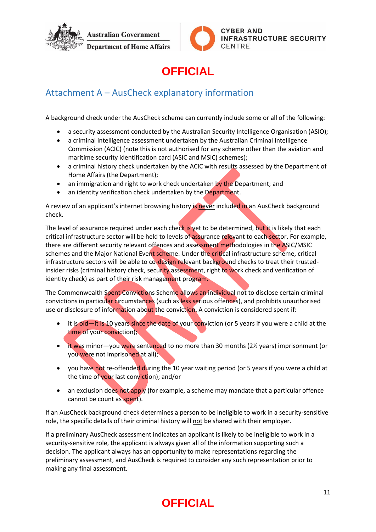



# **OFFICIAL**

#### <span id="page-10-0"></span>Attachment A – AusCheck explanatory information

A background check under the AusCheck scheme can currently include some or all of the following:

- a security assessment conducted by the Australian Security Intelligence Organisation (ASIO);
- a criminal intelligence assessment undertaken by the Australian Criminal Intelligence Commission (ACIC) (note this is not authorised for any scheme other than the aviation and maritime security identification card (ASIC and MSIC) schemes);
- a criminal history check undertaken by the ACIC with results assessed by the Department of Home Affairs (the Department);
- an immigration and right to work check undertaken by the Department; and
- an identity verification check undertaken by the Department.

A review of an applicant's internet browsing history is never included in an AusCheck background check.

The level of assurance required under each check is yet to be determined, but it is likely that each critical infrastructure sector will be held to levels of assurance relevant to each sector. For example, there are different security relevant offences and assessment methodologies in the ASIC/MSIC schemes and the Major National Event scheme. Under the critical infrastructure scheme, critical infrastructure sectors will be able to co-design relevant background checks to treat their trustedinsider risks (criminal history check, security assessment, right to work check and verification of identity check) as part of their risk management program.

The Commonwealth Spent Convictions Scheme allows an individual not to disclose certain criminal convictions in particular circumstances (such as less serious offences), and prohibits unauthorised use or disclosure of information about the conviction. A conviction is considered spent if:

- it is old—it is 10 years since the date of your conviction (or 5 years if you were a child at the time of your conviction);
- it was minor—you were sentenced to no more than 30 months (2½ years) imprisonment (or you were not imprisoned at all);
- you have not re-offended during the 10 year waiting period (or 5 years if you were a child at the time of your last conviction); and/or
- an exclusion does not apply (for example, a scheme may mandate that a particular offence cannot be count as spent).

If an AusCheck background check determines a person to be ineligible to work in a security-sensitive role, the specific details of their criminal history will not be shared with their employer.

If a preliminary AusCheck assessment indicates an applicant is likely to be ineligible to work in a security-sensitive role, the applicant is always given all of the information supporting such a decision. The applicant always has an opportunity to make representations regarding the preliminary assessment, and AusCheck is required to consider any such representation prior to making any final assessment.